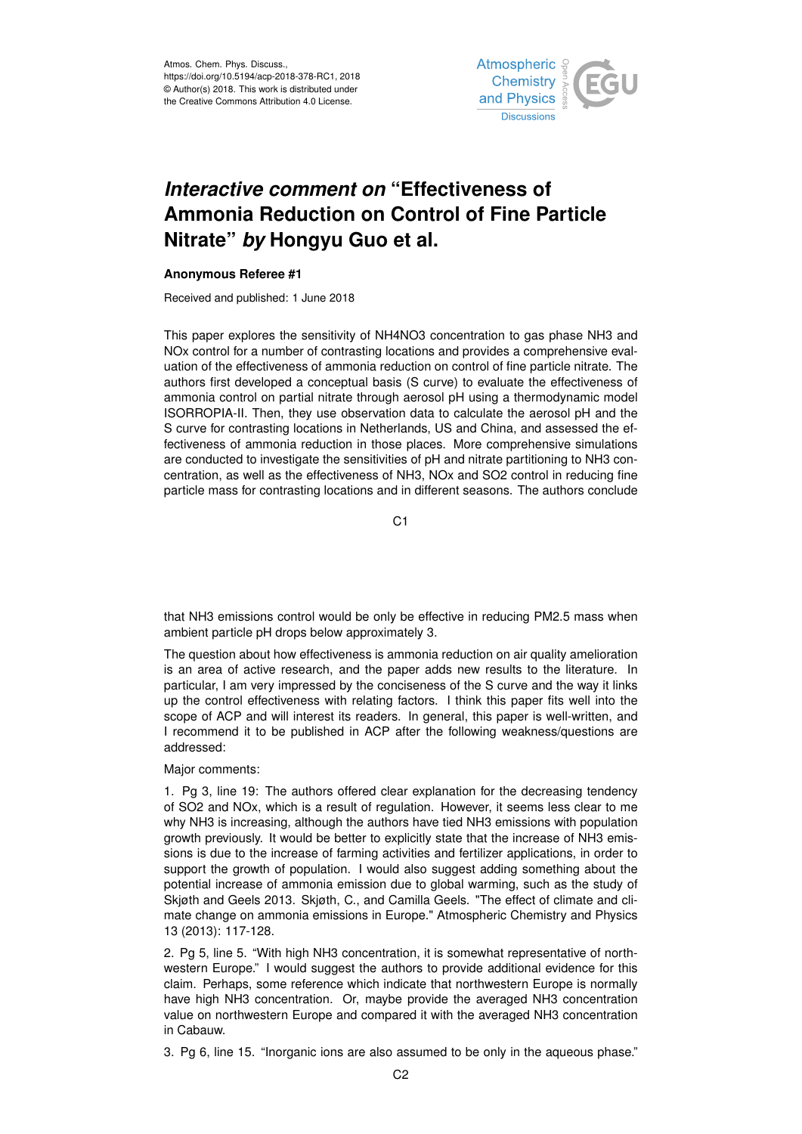Atmos. Chem. Phys. Discuss., https://doi.org/10.5194/acp-2018-378-RC1, 2018 © Author(s) 2018. This work is distributed under the Creative Commons Attribution 4.0 License.



## *Interactive comment on* **"Effectiveness of Ammonia Reduction on Control of Fine Particle Nitrate"** *by* **Hongyu Guo et al.**

## **Anonymous Referee #1**

Received and published: 1 June 2018

This paper explores the sensitivity of NH4NO3 concentration to gas phase NH3 and NOx control for a number of contrasting locations and provides a comprehensive evaluation of the effectiveness of ammonia reduction on control of fine particle nitrate. The authors first developed a conceptual basis (S curve) to evaluate the effectiveness of ammonia control on partial nitrate through aerosol pH using a thermodynamic model ISORROPIA-II. Then, they use observation data to calculate the aerosol pH and the S curve for contrasting locations in Netherlands, US and China, and assessed the effectiveness of ammonia reduction in those places. More comprehensive simulations are conducted to investigate the sensitivities of pH and nitrate partitioning to NH3 concentration, as well as the effectiveness of NH3, NOx and SO2 control in reducing fine particle mass for contrasting locations and in different seasons. The authors conclude

C<sub>1</sub>

that NH3 emissions control would be only be effective in reducing PM2.5 mass when ambient particle pH drops below approximately 3.

The question about how effectiveness is ammonia reduction on air quality amelioration is an area of active research, and the paper adds new results to the literature. In particular, I am very impressed by the conciseness of the S curve and the way it links up the control effectiveness with relating factors. I think this paper fits well into the scope of ACP and will interest its readers. In general, this paper is well-written, and I recommend it to be published in ACP after the following weakness/questions are addressed:

Major comments:

1. Pg 3, line 19: The authors offered clear explanation for the decreasing tendency of SO2 and NOx, which is a result of regulation. However, it seems less clear to me why NH3 is increasing, although the authors have tied NH3 emissions with population growth previously. It would be better to explicitly state that the increase of NH3 emissions is due to the increase of farming activities and fertilizer applications, in order to support the growth of population. I would also suggest adding something about the potential increase of ammonia emission due to global warming, such as the study of Skjøth and Geels 2013. Skjøth, C., and Camilla Geels. "The effect of climate and climate change on ammonia emissions in Europe." Atmospheric Chemistry and Physics 13 (2013): 117-128.

2. Pg 5, line 5. "With high NH3 concentration, it is somewhat representative of northwestern Europe." I would suggest the authors to provide additional evidence for this claim. Perhaps, some reference which indicate that northwestern Europe is normally have high NH3 concentration. Or, maybe provide the averaged NH3 concentration value on northwestern Europe and compared it with the averaged NH3 concentration in Cabauw.

3. Pg 6, line 15. "Inorganic ions are also assumed to be only in the aqueous phase."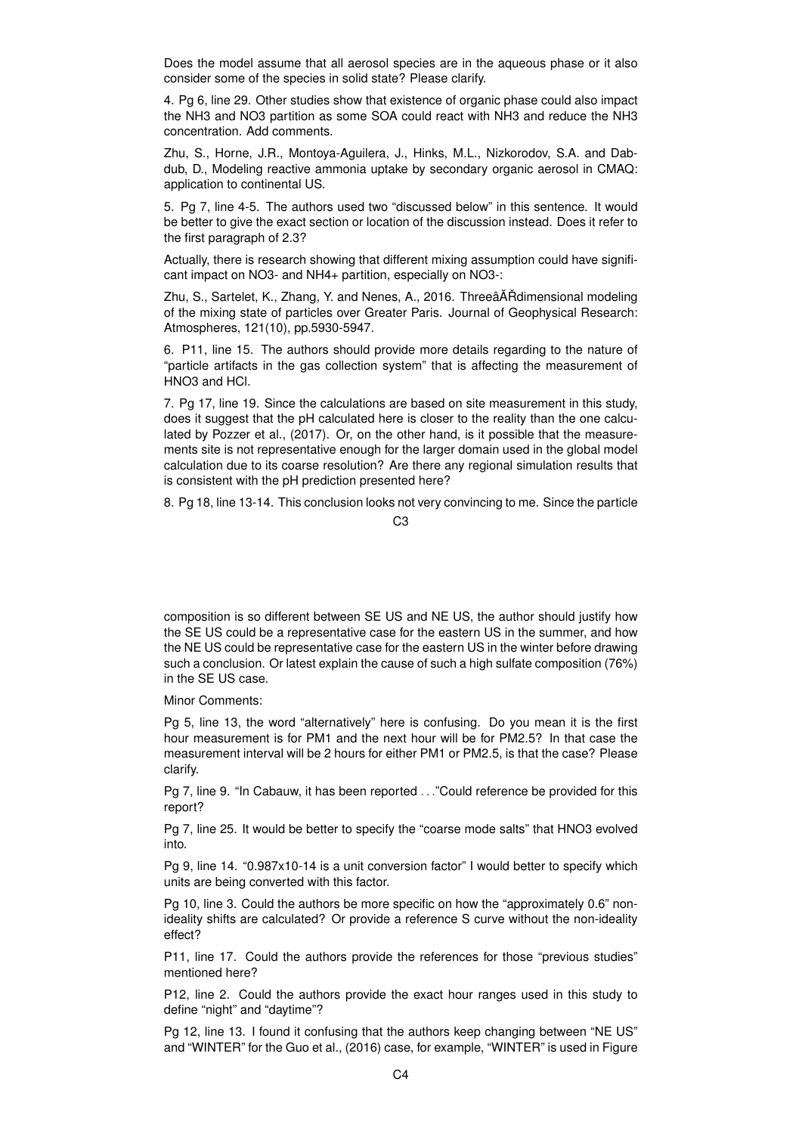Does the model assume that all aerosol species are in the aqueous phase or it also consider some of the species in solid state? Please clarify.

4. Pg 6, line 29. Other studies show that existence of organic phase could also impact the NH3 and NO3 partition as some SOA could react with NH3 and reduce the NH3 concentration. Add comments.

Zhu, S., Horne, J.R., Montoya-Aguilera, J., Hinks, M.L., Nizkorodov, S.A. and Dabdub, D., Modeling reactive ammonia uptake by secondary organic aerosol in CMAQ: application to continental US.

5. Pg 7, line 4-5. The authors used two "discussed below" in this sentence. It would be better to give the exact section or location of the discussion instead. Does it refer to the first paragraph of 2.3?

Actually, there is research showing that different mixing assumption could have significant impact on NO3- and NH4+ partition, especially on NO3-:

Zhu, S., Sartelet, K., Zhang, Y. and Nenes, A., 2016. ThreeâȦ Rdimensional modeling of the mixing state of particles over Greater Paris. Journal of Geophysical Research: Atmospheres, 121(10), pp.5930-5947.

6. P11, line 15. The authors should provide more details regarding to the nature of "particle artifacts in the gas collection system" that is affecting the measurement of HNO3 and HCl.

7. Pg 17, line 19. Since the calculations are based on site measurement in this study, does it suggest that the pH calculated here is closer to the reality than the one calculated by Pozzer et al., (2017). Or, on the other hand, is it possible that the measurements site is not representative enough for the larger domain used in the global model calculation due to its coarse resolution? Are there any regional simulation results that is consistent with the pH prediction presented here?

8. Pg 18, line 13-14. This conclusion looks not very convincing to me. Since the particle

## C3

composition is so different between SE US and NE US, the author should justify how the SE US could be a representative case for the eastern US in the summer, and how the NE US could be representative case for the eastern US in the winter before drawing such a conclusion. Or latest explain the cause of such a high sulfate composition (76%) in the SE US case.

Minor Comments:

Pg 5, line 13, the word "alternatively" here is confusing. Do you mean it is the first hour measurement is for PM1 and the next hour will be for PM2.5? In that case the measurement interval will be 2 hours for either PM1 or PM2.5, is that the case? Please clarify.

Pg 7, line 9. "In Cabauw, it has been reported . . ."Could reference be provided for this report?

Pg 7, line 25. It would be better to specify the "coarse mode salts" that HNO3 evolved into.

Pg 9, line 14. "0.987x10-14 is a unit conversion factor" I would better to specify which units are being converted with this factor.

Pg 10, line 3. Could the authors be more specific on how the "approximately 0.6" nonideality shifts are calculated? Or provide a reference S curve without the non-ideality effect?

P11, line 17. Could the authors provide the references for those "previous studies" mentioned here?

P12, line 2. Could the authors provide the exact hour ranges used in this study to define "night" and "daytime"?

Pg 12, line 13. I found it confusing that the authors keep changing between "NE US" and "WINTER" for the Guo et al., (2016) case, for example, "WINTER" is used in Figure